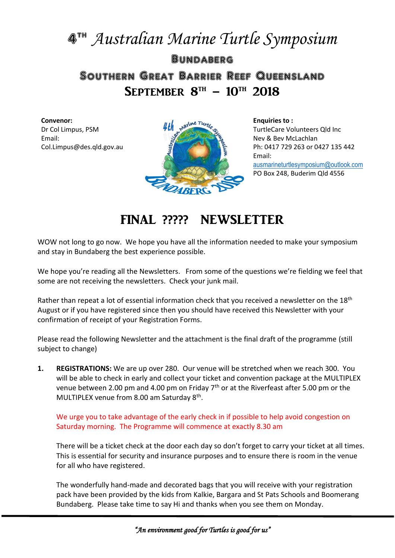## 4 th *Australian Marine Turtle Symposium* **Bundaberg** Southern Great Barrier Reef Queensland SEPTEMBER  $8^{\text{th}} - 10^{\text{th}}$  2018

**Convenor:** Dr Col Limpus, PSM Email: Col.Limpus@des.qld.gov.au



**Enquiries to :** TurtleCare Volunteers Qld Inc Nev & Bev McLachlan Ph: 0417 729 263 or 0427 135 442 Email: [ausmarineturtlesymposium@outlook.com](mailto:ausmarineturtlesymposium@outlook.com) PO Box 248, Buderim Qld 4556

## FINAL ????? NEWSLETTER

WOW not long to go now. We hope you have all the information needed to make your symposium and stay in Bundaberg the best experience possible.

We hope you're reading all the Newsletters. From some of the questions we're fielding we feel that some are not receiving the newsletters. Check your junk mail.

Rather than repeat a lot of essential information check that you received a newsletter on the 18<sup>th</sup> August or if you have registered since then you should have received this Newsletter with your confirmation of receipt of your Registration Forms.

Please read the following Newsletter and the attachment is the final draft of the programme (still subject to change)

**1. REGISTRATIONS:** We are up over 280. Our venue will be stretched when we reach 300. You will be able to check in early and collect your ticket and convention package at the MULTIPLEX venue between 2.00 pm and 4.00 pm on Friday  $7<sup>th</sup>$  or at the Riverfeast after 5.00 pm or the MULTIPLEX venue from 8.00 am Saturday 8<sup>th</sup>.

We urge you to take advantage of the early check in if possible to help avoid congestion on Saturday morning. The Programme will commence at exactly 8.30 am

There will be a ticket check at the door each day so don't forget to carry your ticket at all times. This is essential for security and insurance purposes and to ensure there is room in the venue for all who have registered.

The wonderfully hand-made and decorated bags that you will receive with your registration pack have been provided by the kids from Kalkie, Bargara and St Pats Schools and Boomerang Bundaberg. Please take time to say Hi and thanks when you see them on Monday.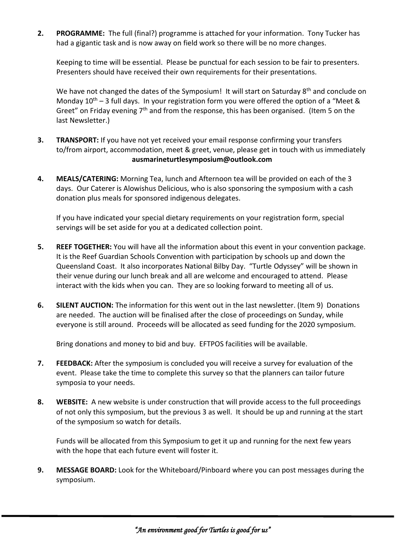**2. PROGRAMME:** The full (final?) programme is attached for your information. Tony Tucker has had a gigantic task and is now away on field work so there will be no more changes.

Keeping to time will be essential. Please be punctual for each session to be fair to presenters. Presenters should have received their own requirements for their presentations.

We have not changed the dates of the Symposium! It will start on Saturday 8<sup>th</sup> and conclude on Monday  $10^{th}$  – 3 full days. In your registration form you were offered the option of a "Meet & Greet" on Friday evening  $7<sup>th</sup>$  and from the response, this has been organised. (Item 5 on the last Newsletter.)

- **3. TRANSPORT:** If you have not yet received your email response confirming your transfers to/from airport, accommodation, meet & greet, venue, please get in touch with us immediately **[ausmarineturtlesymposium@outlook.com](mailto:ausmarineturtlesymposium@outlook.com)**
- **4. MEALS/CATERING:** Morning Tea, lunch and Afternoon tea will be provided on each of the 3 days. Our Caterer is Alowishus Delicious, who is also sponsoring the symposium with a cash donation plus meals for sponsored indigenous delegates.

If you have indicated your special dietary requirements on your registration form, special servings will be set aside for you at a dedicated collection point.

- **5. REEF TOGETHER:** You will have all the information about this event in your convention package. It is the Reef Guardian Schools Convention with participation by schools up and down the Queensland Coast. It also incorporates National Bilby Day. "Turtle Odyssey" will be shown in their venue during our lunch break and all are welcome and encouraged to attend. Please interact with the kids when you can. They are so looking forward to meeting all of us.
- **6. SILENT AUCTION:** The information for this went out in the last newsletter. (Item 9) Donations are needed. The auction will be finalised after the close of proceedings on Sunday, while everyone is still around. Proceeds will be allocated as seed funding for the 2020 symposium.

Bring donations and money to bid and buy. EFTPOS facilities will be available.

- **7. FEEDBACK:** After the symposium is concluded you will receive a survey for evaluation of the event. Please take the time to complete this survey so that the planners can tailor future symposia to your needs.
- **8. WEBSITE:** A new website is under construction that will provide access to the full proceedings of not only this symposium, but the previous 3 as well. It should be up and running at the start of the symposium so watch for details.

Funds will be allocated from this Symposium to get it up and running for the next few years with the hope that each future event will foster it.

**9. MESSAGE BOARD:** Look for the Whiteboard/Pinboard where you can post messages during the symposium.